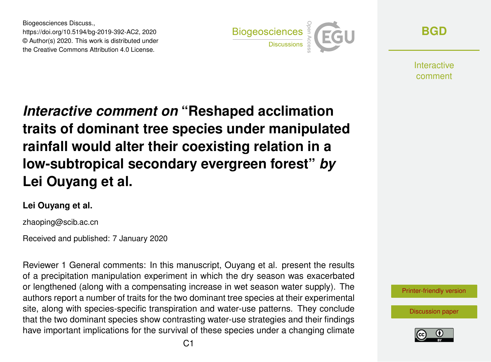Biogeosciences Discuss., https://doi.org/10.5194/bg-2019-392-AC2, 2020 © Author(s) 2020. This work is distributed under the Creative Commons Attribution 4.0 License.



**[BGD](https://www.biogeosciences-discuss.net/)**

**Interactive** comment

*Interactive comment on* **"Reshaped acclimation traits of dominant tree species under manipulated rainfall would alter their coexisting relation in a low-subtropical secondary evergreen forest"** *by* **Lei Ouyang et al.**

## **Lei Ouyang et al.**

zhaoping@scib.ac.cn

Received and published: 7 January 2020

Reviewer 1 General comments: In this manuscript, Ouyang et al. present the results of a precipitation manipulation experiment in which the dry season was exacerbated or lengthened (along with a compensating increase in wet season water supply). The authors report a number of traits for the two dominant tree species at their experimental site, along with species-specific transpiration and water-use patterns. They conclude that the two dominant species show contrasting water-use strategies and their findings have important implications for the survival of these species under a changing climate



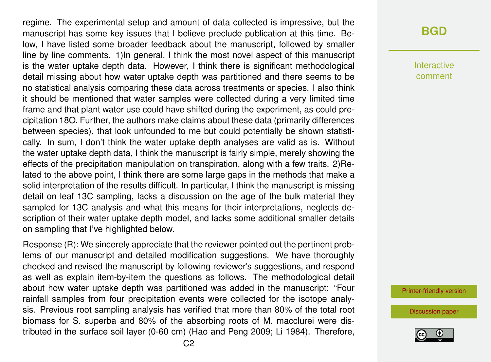regime. The experimental setup and amount of data collected is impressive, but the manuscript has some key issues that I believe preclude publication at this time. Below, I have listed some broader feedback about the manuscript, followed by smaller line by line comments. 1)In general, I think the most novel aspect of this manuscript is the water uptake depth data. However, I think there is significant methodological detail missing about how water uptake depth was partitioned and there seems to be no statistical analysis comparing these data across treatments or species. I also think it should be mentioned that water samples were collected during a very limited time frame and that plant water use could have shifted during the experiment, as could precipitation 18O. Further, the authors make claims about these data (primarily differences between species), that look unfounded to me but could potentially be shown statistically. In sum, I don't think the water uptake depth analyses are valid as is. Without the water uptake depth data, I think the manuscript is fairly simple, merely showing the effects of the precipitation manipulation on transpiration, along with a few traits. 2)Related to the above point, I think there are some large gaps in the methods that make a solid interpretation of the results difficult. In particular, I think the manuscript is missing detail on leaf 13C sampling, lacks a discussion on the age of the bulk material they sampled for 13C analysis and what this means for their interpretations, neglects description of their water uptake depth model, and lacks some additional smaller details on sampling that I've highlighted below.

Response (R): We sincerely appreciate that the reviewer pointed out the pertinent problems of our manuscript and detailed modification suggestions. We have thoroughly checked and revised the manuscript by following reviewer's suggestions, and respond as well as explain item-by-item the questions as follows. The methodological detail about how water uptake depth was partitioned was added in the manuscript: "Four rainfall samples from four precipitation events were collected for the isotope analysis. Previous root sampling analysis has verified that more than 80% of the total root biomass for S. superba and 80% of the absorbing roots of M. macclurei were distributed in the surface soil layer (0-60 cm) (Hao and Peng 2009; Li 1984). Therefore,

## **[BGD](https://www.biogeosciences-discuss.net/)**

Interactive comment

[Printer-friendly version](https://www.biogeosciences-discuss.net/bg-2019-392/bg-2019-392-AC2-print.pdf)

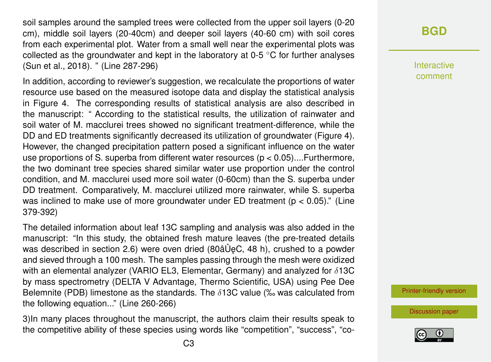soil samples around the sampled trees were collected from the upper soil layers (0-20 cm), middle soil layers (20-40cm) and deeper soil layers (40-60 cm) with soil cores from each experimental plot. Water from a small well near the experimental plots was collected as the groundwater and kept in the laboratory at  $0-5$  °C for further analyses (Sun et al., 2018). " (Line 287-296)

In addition, according to reviewer's suggestion, we recalculate the proportions of water resource use based on the measured isotope data and display the statistical analysis in Figure 4. The corresponding results of statistical analysis are also described in the manuscript: " According to the statistical results, the utilization of rainwater and soil water of M. macclurei trees showed no significant treatment-difference, while the DD and ED treatments significantly decreased its utilization of groundwater (Figure 4). However, the changed precipitation pattern posed a significant influence on the water use proportions of S. superba from different water resources ( $p < 0.05$ )....Furthermore, the two dominant tree species shared similar water use proportion under the control condition, and M. macclurei used more soil water (0-60cm) than the S. superba under DD treatment. Comparatively, M. macclurei utilized more rainwater, while S. superba was inclined to make use of more groundwater under ED treatment ( $p < 0.05$ )." (Line 379-392)

The detailed information about leaf 13C sampling and analysis was also added in the manuscript: "In this study, the obtained fresh mature leaves (the pre-treated details was described in section 2.6) were oven dried (80 $\hat{a} \hat{U}$ eC, 48 h), crushed to a powder and sieved through a 100 mesh. The samples passing through the mesh were oxidized with an elemental analyzer (VARIO EL3, Elementar, Germany) and analyzed for  $\delta$ 13C by mass spectrometry (DELTA V Advantage, Thermo Scientific, USA) using Pee Dee Belemnite (PDB) limestone as the standards. The  $\delta$ 13C value (‰ was calculated from the following equation..." (Line 260-266)

3)In many places throughout the manuscript, the authors claim their results speak to the competitive ability of these species using words like "competition", "success", "co-

## **[BGD](https://www.biogeosciences-discuss.net/)**

Interactive comment

[Printer-friendly version](https://www.biogeosciences-discuss.net/bg-2019-392/bg-2019-392-AC2-print.pdf)

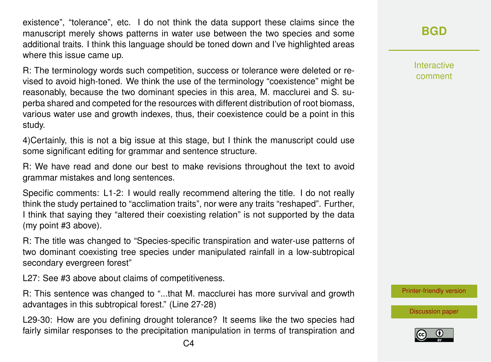existence", "tolerance", etc. I do not think the data support these claims since the manuscript merely shows patterns in water use between the two species and some additional traits. I think this language should be toned down and I've highlighted areas where this issue came up.

R: The terminology words such competition, success or tolerance were deleted or revised to avoid high-toned. We think the use of the terminology "coexistence" might be reasonably, because the two dominant species in this area, M. macclurei and S. superba shared and competed for the resources with different distribution of root biomass, various water use and growth indexes, thus, their coexistence could be a point in this study.

4)Certainly, this is not a big issue at this stage, but I think the manuscript could use some significant editing for grammar and sentence structure.

R: We have read and done our best to make revisions throughout the text to avoid grammar mistakes and long sentences.

Specific comments: L1-2: I would really recommend altering the title. I do not really think the study pertained to "acclimation traits", nor were any traits "reshaped". Further, I think that saying they "altered their coexisting relation" is not supported by the data (my point #3 above).

R: The title was changed to "Species-specific transpiration and water-use patterns of two dominant coexisting tree species under manipulated rainfall in a low-subtropical secondary evergreen forest"

L27: See #3 above about claims of competitiveness.

R: This sentence was changed to "...that M. macclurei has more survival and growth advantages in this subtropical forest." (Line 27-28)

L29-30: How are you defining drought tolerance? It seems like the two species had fairly similar responses to the precipitation manipulation in terms of transpiration and Interactive comment

[Printer-friendly version](https://www.biogeosciences-discuss.net/bg-2019-392/bg-2019-392-AC2-print.pdf)

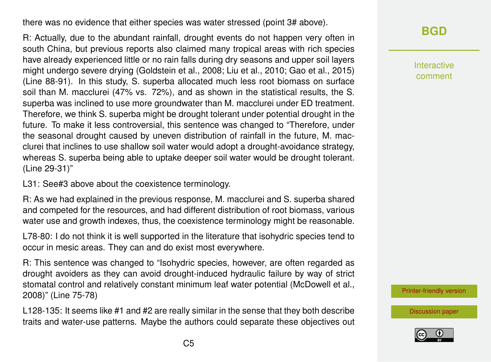there was no evidence that either species was water stressed (point 3# above).

R: Actually, due to the abundant rainfall, drought events do not happen very often in south China, but previous reports also claimed many tropical areas with rich species have already experienced little or no rain falls during dry seasons and upper soil layers might undergo severe drying (Goldstein et al., 2008; Liu et al., 2010; Gao et al., 2015) (Line 88-91). In this study, S. superba allocated much less root biomass on surface soil than M. macclurei (47% vs. 72%), and as shown in the statistical results, the S. superba was inclined to use more groundwater than M. macclurei under ED treatment. Therefore, we think S. superba might be drought tolerant under potential drought in the future. To make it less controversial, this sentence was changed to "Therefore, under the seasonal drought caused by uneven distribution of rainfall in the future, M. macclurei that inclines to use shallow soil water would adopt a drought-avoidance strategy, whereas S. superba being able to uptake deeper soil water would be drought tolerant. (Line 29-31)"

L31: See#3 above about the coexistence terminology.

R: As we had explained in the previous response, M. macclurei and S. superba shared and competed for the resources, and had different distribution of root biomass, various water use and growth indexes, thus, the coexistence terminology might be reasonable.

L78-80: I do not think it is well supported in the literature that isohydric species tend to occur in mesic areas. They can and do exist most everywhere.

R: This sentence was changed to "Isohydric species, however, are often regarded as drought avoiders as they can avoid drought-induced hydraulic failure by way of strict stomatal control and relatively constant minimum leaf water potential (McDowell et al., 2008)" (Line 75-78)

L128-135: It seems like #1 and #2 are really similar in the sense that they both describe traits and water-use patterns. Maybe the authors could separate these objectives out Interactive comment

[Printer-friendly version](https://www.biogeosciences-discuss.net/bg-2019-392/bg-2019-392-AC2-print.pdf)

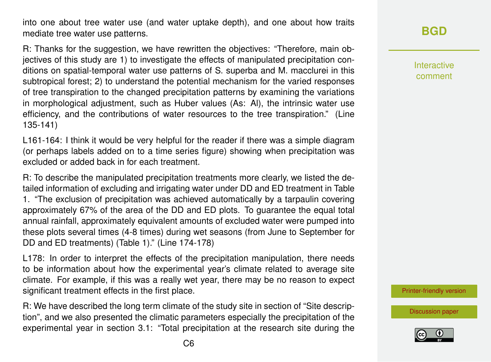into one about tree water use (and water uptake depth), and one about how traits mediate tree water use patterns.

R: Thanks for the suggestion, we have rewritten the objectives: "Therefore, main objectives of this study are 1) to investigate the effects of manipulated precipitation conditions on spatial-temporal water use patterns of S. superba and M. macclurei in this subtropical forest; 2) to understand the potential mechanism for the varied responses of tree transpiration to the changed precipitation patterns by examining the variations in morphological adjustment, such as Huber values (As: Al), the intrinsic water use efficiency, and the contributions of water resources to the tree transpiration." (Line 135-141)

L161-164: I think it would be very helpful for the reader if there was a simple diagram (or perhaps labels added on to a time series figure) showing when precipitation was excluded or added back in for each treatment.

R: To describe the manipulated precipitation treatments more clearly, we listed the detailed information of excluding and irrigating water under DD and ED treatment in Table 1. "The exclusion of precipitation was achieved automatically by a tarpaulin covering approximately 67% of the area of the DD and ED plots. To guarantee the equal total annual rainfall, approximately equivalent amounts of excluded water were pumped into these plots several times (4-8 times) during wet seasons (from June to September for DD and ED treatments) (Table 1)." (Line 174-178)

L178: In order to interpret the effects of the precipitation manipulation, there needs to be information about how the experimental year's climate related to average site climate. For example, if this was a really wet year, there may be no reason to expect significant treatment effects in the first place.

R: We have described the long term climate of the study site in section of "Site description", and we also presented the climatic parameters especially the precipitation of the experimental year in section 3.1: "Total precipitation at the research site during the Interactive comment

[Printer-friendly version](https://www.biogeosciences-discuss.net/bg-2019-392/bg-2019-392-AC2-print.pdf)

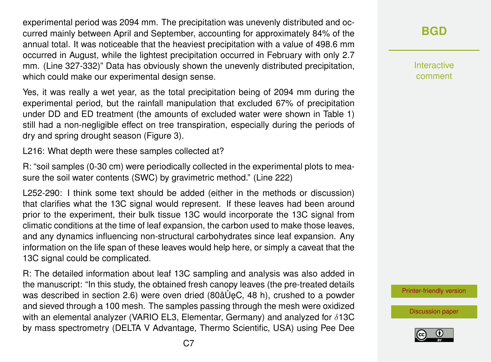experimental period was 2094 mm. The precipitation was unevenly distributed and occurred mainly between April and September, accounting for approximately 84% of the annual total. It was noticeable that the heaviest precipitation with a value of 498.6 mm occurred in August, while the lightest precipitation occurred in February with only 2.7 mm. (Line 327-332)" Data has obviously shown the unevenly distributed precipitation, which could make our experimental design sense.

Yes, it was really a wet year, as the total precipitation being of 2094 mm during the experimental period, but the rainfall manipulation that excluded 67% of precipitation under DD and ED treatment (the amounts of excluded water were shown in Table 1) still had a non-negligible effect on tree transpiration, especially during the periods of dry and spring drought season (Figure 3).

L216: What depth were these samples collected at?

R: "soil samples (0-30 cm) were periodically collected in the experimental plots to measure the soil water contents (SWC) by gravimetric method." (Line 222)

L252-290: I think some text should be added (either in the methods or discussion) that clarifies what the 13C signal would represent. If these leaves had been around prior to the experiment, their bulk tissue 13C would incorporate the 13C signal from climatic conditions at the time of leaf expansion, the carbon used to make those leaves, and any dynamics influencing non-structural carbohydrates since leaf expansion. Any information on the life span of these leaves would help here, or simply a caveat that the 13C signal could be complicated.

R: The detailed information about leaf 13C sampling and analysis was also added in the manuscript: "In this study, the obtained fresh canopy leaves (the pre-treated details was described in section 2.6) were oven dried (80 $\hat{a} \cup \hat{b}$ C, 48 h), crushed to a powder and sieved through a 100 mesh. The samples passing through the mesh were oxidized with an elemental analyzer (VARIO EL3, Elementar, Germany) and analyzed for  $\delta$ 13C by mass spectrometry (DELTA V Advantage, Thermo Scientific, USA) using Pee Dee **[BGD](https://www.biogeosciences-discuss.net/)**

Interactive comment

[Printer-friendly version](https://www.biogeosciences-discuss.net/bg-2019-392/bg-2019-392-AC2-print.pdf)

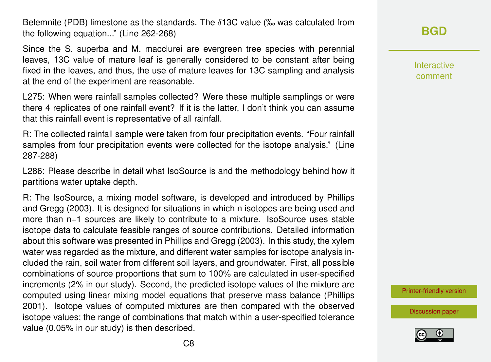Belemnite (PDB) limestone as the standards. The  $\delta$ 13C value (‰ was calculated from the following equation..." (Line 262-268)

Since the S. superba and M. macclurei are evergreen tree species with perennial leaves, 13C value of mature leaf is generally considered to be constant after being fixed in the leaves, and thus, the use of mature leaves for 13C sampling and analysis at the end of the experiment are reasonable.

L275: When were rainfall samples collected? Were these multiple samplings or were there 4 replicates of one rainfall event? If it is the latter, I don't think you can assume that this rainfall event is representative of all rainfall.

R: The collected rainfall sample were taken from four precipitation events. "Four rainfall samples from four precipitation events were collected for the isotope analysis." (Line 287-288)

L286: Please describe in detail what IsoSource is and the methodology behind how it partitions water uptake depth.

R: The IsoSource, a mixing model software, is developed and introduced by Phillips and Gregg (2003). It is designed for situations in which n isotopes are being used and more than n+1 sources are likely to contribute to a mixture. IsoSource uses stable isotope data to calculate feasible ranges of source contributions. Detailed information about this software was presented in Phillips and Gregg (2003). In this study, the xylem water was regarded as the mixture, and different water samples for isotope analysis included the rain, soil water from different soil layers, and groundwater. First, all possible combinations of source proportions that sum to 100% are calculated in user-specified increments (2% in our study). Second, the predicted isotope values of the mixture are computed using linear mixing model equations that preserve mass balance (Phillips 2001). Isotope values of computed mixtures are then compared with the observed isotope values; the range of combinations that match within a user-specified tolerance value (0.05% in our study) is then described.

**[BGD](https://www.biogeosciences-discuss.net/)**

Interactive comment

[Printer-friendly version](https://www.biogeosciences-discuss.net/bg-2019-392/bg-2019-392-AC2-print.pdf)

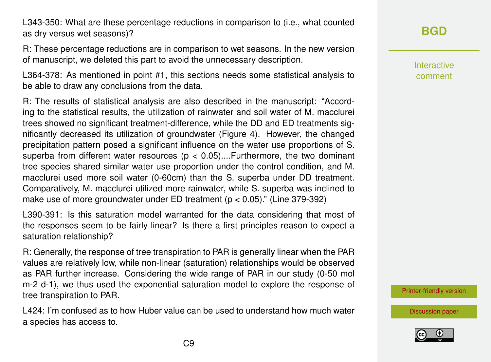L343-350: What are these percentage reductions in comparison to (i.e., what counted as dry versus wet seasons)?

R: These percentage reductions are in comparison to wet seasons. In the new version of manuscript, we deleted this part to avoid the unnecessary description.

L364-378: As mentioned in point #1, this sections needs some statistical analysis to be able to draw any conclusions from the data.

R: The results of statistical analysis are also described in the manuscript: "According to the statistical results, the utilization of rainwater and soil water of M. macclurei trees showed no significant treatment-difference, while the DD and ED treatments significantly decreased its utilization of groundwater (Figure 4). However, the changed precipitation pattern posed a significant influence on the water use proportions of S. superba from different water resources ( $p < 0.05$ )....Furthermore, the two dominant tree species shared similar water use proportion under the control condition, and M. macclurei used more soil water (0-60cm) than the S. superba under DD treatment. Comparatively, M. macclurei utilized more rainwater, while S. superba was inclined to make use of more groundwater under ED treatment ( $p < 0.05$ )." (Line 379-392)

L390-391: Is this saturation model warranted for the data considering that most of the responses seem to be fairly linear? Is there a first principles reason to expect a saturation relationship?

R: Generally, the response of tree transpiration to PAR is generally linear when the PAR values are relatively low, while non-linear (saturation) relationships would be observed as PAR further increase. Considering the wide range of PAR in our study (0-50 mol m-2 d-1), we thus used the exponential saturation model to explore the response of tree transpiration to PAR.

L424: I'm confused as to how Huber value can be used to understand how much water a species has access to.

## **[BGD](https://www.biogeosciences-discuss.net/)**

Interactive comment

[Printer-friendly version](https://www.biogeosciences-discuss.net/bg-2019-392/bg-2019-392-AC2-print.pdf)

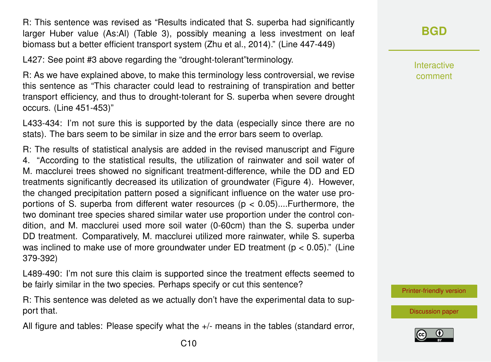R: This sentence was revised as "Results indicated that S. superba had significantly larger Huber value (As:Al) (Table 3), possibly meaning a less investment on leaf biomass but a better efficient transport system (Zhu et al., 2014)." (Line 447-449)

L427: See point #3 above regarding the "drought-tolerant"terminology.

R: As we have explained above, to make this terminology less controversial, we revise this sentence as "This character could lead to restraining of transpiration and better transport efficiency, and thus to drought-tolerant for S. superba when severe drought occurs. (Line 451-453)"

L433-434: I'm not sure this is supported by the data (especially since there are no stats). The bars seem to be similar in size and the error bars seem to overlap.

R: The results of statistical analysis are added in the revised manuscript and Figure 4. "According to the statistical results, the utilization of rainwater and soil water of M. macclurei trees showed no significant treatment-difference, while the DD and ED treatments significantly decreased its utilization of groundwater (Figure 4). However, the changed precipitation pattern posed a significant influence on the water use proportions of S. superba from different water resources ( $p < 0.05$ )....Furthermore, the two dominant tree species shared similar water use proportion under the control condition, and M. macclurei used more soil water (0-60cm) than the S. superba under DD treatment. Comparatively, M. macclurei utilized more rainwater, while S. superba was inclined to make use of more groundwater under ED treatment ( $p < 0.05$ )." (Line 379-392)

L489-490: I'm not sure this claim is supported since the treatment effects seemed to be fairly similar in the two species. Perhaps specify or cut this sentence?

R: This sentence was deleted as we actually don't have the experimental data to support that.

All figure and tables: Please specify what the +/- means in the tables (standard error,

**[BGD](https://www.biogeosciences-discuss.net/)**

Interactive comment

[Printer-friendly version](https://www.biogeosciences-discuss.net/bg-2019-392/bg-2019-392-AC2-print.pdf)

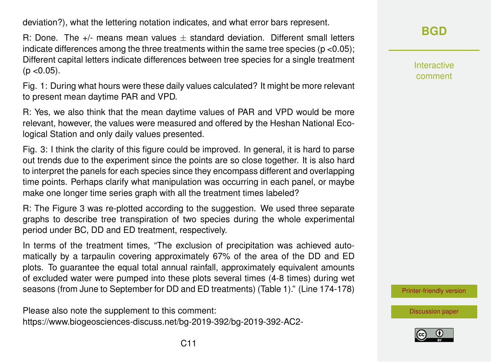deviation?), what the lettering notation indicates, and what error bars represent.

R: Done. The  $+/-$  means mean values  $\pm$  standard deviation. Different small letters indicate differences among the three treatments within the same tree species ( $p < 0.05$ ); Different capital letters indicate differences between tree species for a single treatment  $(p < 0.05)$ .

Fig. 1: During what hours were these daily values calculated? It might be more relevant to present mean daytime PAR and VPD.

R: Yes, we also think that the mean daytime values of PAR and VPD would be more relevant, however, the values were measured and offered by the Heshan National Ecological Station and only daily values presented.

Fig. 3: I think the clarity of this figure could be improved. In general, it is hard to parse out trends due to the experiment since the points are so close together. It is also hard to interpret the panels for each species since they encompass different and overlapping time points. Perhaps clarify what manipulation was occurring in each panel, or maybe make one longer time series graph with all the treatment times labeled?

R: The Figure 3 was re-plotted according to the suggestion. We used three separate graphs to describe tree transpiration of two species during the whole experimental period under BC, DD and ED treatment, respectively.

In terms of the treatment times, "The exclusion of precipitation was achieved automatically by a tarpaulin covering approximately 67% of the area of the DD and ED plots. To guarantee the equal total annual rainfall, approximately equivalent amounts of excluded water were pumped into these plots several times (4-8 times) during wet seasons (from June to September for DD and ED treatments) (Table 1)." (Line 174-178)

Please also note the supplement to this comment: [https://www.biogeosciences-discuss.net/bg-2019-392/bg-2019-392-AC2-](https://www.biogeosciences-discuss.net/bg-2019-392/bg-2019-392-AC2-supplement.pdf) **[BGD](https://www.biogeosciences-discuss.net/)**

Interactive comment

[Printer-friendly version](https://www.biogeosciences-discuss.net/bg-2019-392/bg-2019-392-AC2-print.pdf)